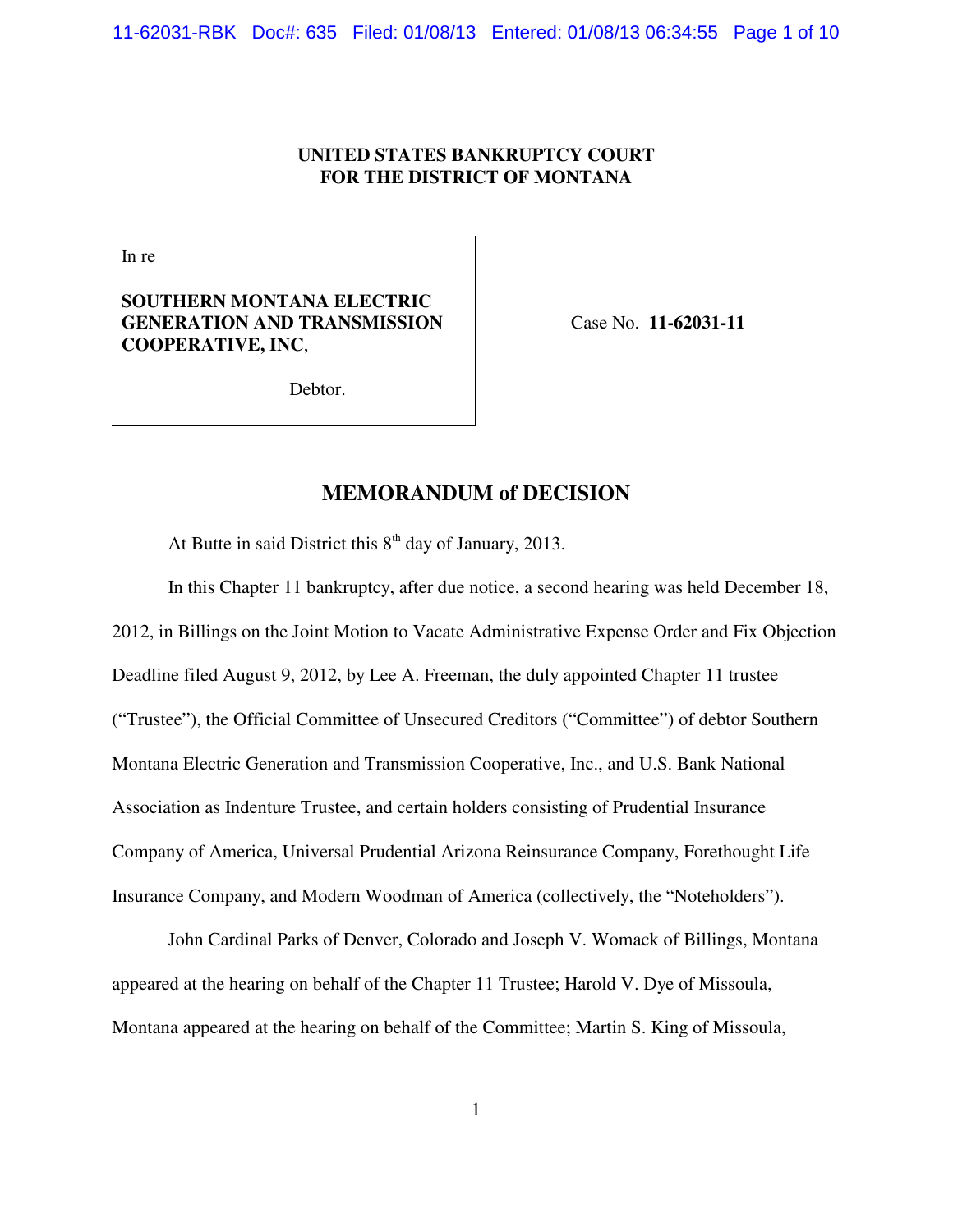# **UNITED STATES BANKRUPTCY COURT FOR THE DISTRICT OF MONTANA**

In re

# **SOUTHERN MONTANA ELECTRIC GENERATION AND TRANSMISSION COOPERATIVE, INC**,

Case No. **11-62031-11**

Debtor.

# **MEMORANDUM of DECISION**

At Butte in said District this  $8<sup>th</sup>$  day of January, 2013.

In this Chapter 11 bankruptcy, after due notice, a second hearing was held December 18, 2012, in Billings on the Joint Motion to Vacate Administrative Expense Order and Fix Objection Deadline filed August 9, 2012, by Lee A. Freeman, the duly appointed Chapter 11 trustee ("Trustee"), the Official Committee of Unsecured Creditors ("Committee") of debtor Southern Montana Electric Generation and Transmission Cooperative, Inc., and U.S. Bank National Association as Indenture Trustee, and certain holders consisting of Prudential Insurance Company of America, Universal Prudential Arizona Reinsurance Company, Forethought Life Insurance Company, and Modern Woodman of America (collectively, the "Noteholders").

John Cardinal Parks of Denver, Colorado and Joseph V. Womack of Billings, Montana appeared at the hearing on behalf of the Chapter 11 Trustee; Harold V. Dye of Missoula, Montana appeared at the hearing on behalf of the Committee; Martin S. King of Missoula,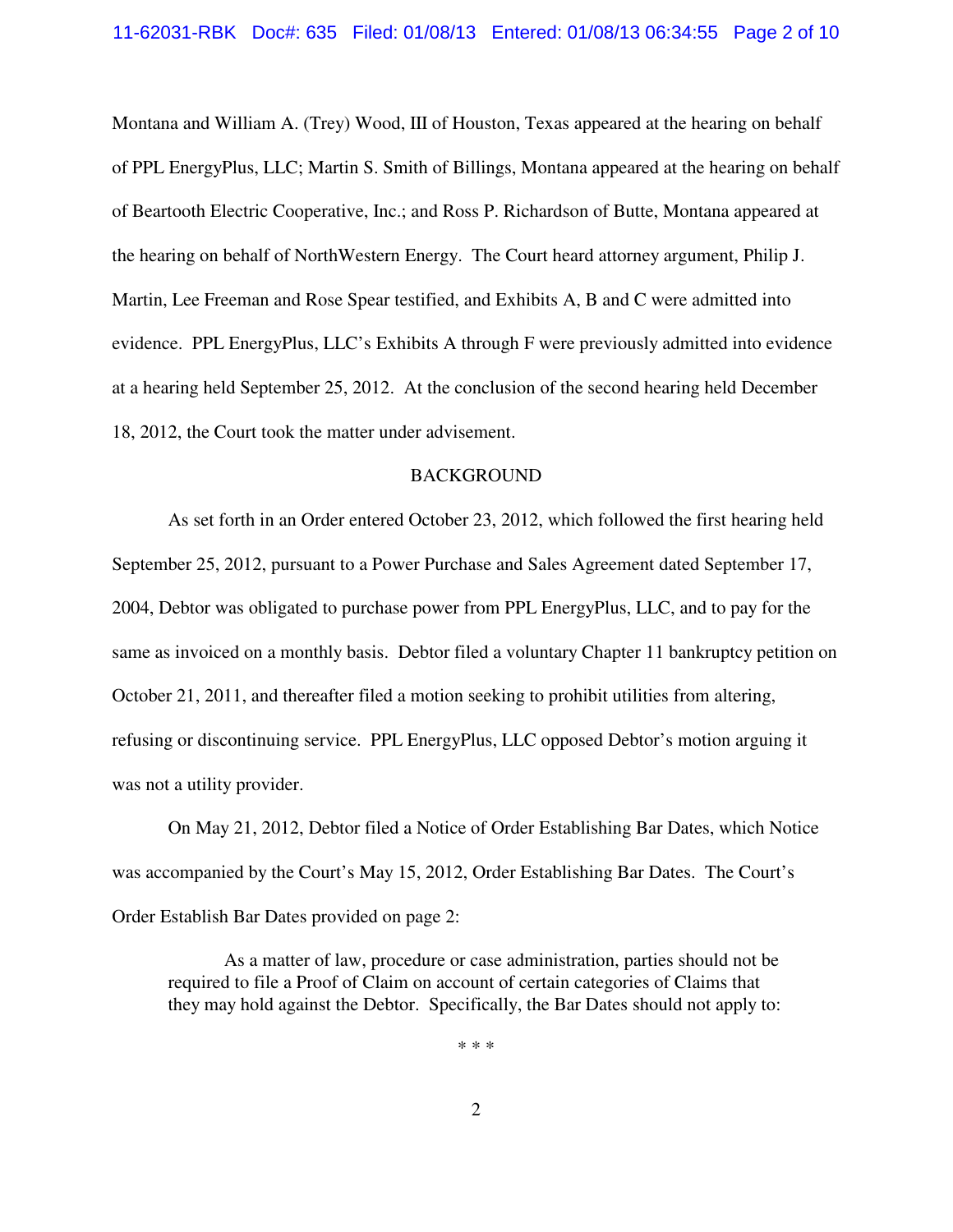Montana and William A. (Trey) Wood, III of Houston, Texas appeared at the hearing on behalf of PPL EnergyPlus, LLC; Martin S. Smith of Billings, Montana appeared at the hearing on behalf of Beartooth Electric Cooperative, Inc.; and Ross P. Richardson of Butte, Montana appeared at the hearing on behalf of NorthWestern Energy. The Court heard attorney argument, Philip J. Martin, Lee Freeman and Rose Spear testified, and Exhibits A, B and C were admitted into evidence. PPL EnergyPlus, LLC's Exhibits A through F were previously admitted into evidence at a hearing held September 25, 2012. At the conclusion of the second hearing held December 18, 2012, the Court took the matter under advisement.

#### BACKGROUND

As set forth in an Order entered October 23, 2012, which followed the first hearing held September 25, 2012, pursuant to a Power Purchase and Sales Agreement dated September 17, 2004, Debtor was obligated to purchase power from PPL EnergyPlus, LLC, and to pay for the same as invoiced on a monthly basis. Debtor filed a voluntary Chapter 11 bankruptcy petition on October 21, 2011, and thereafter filed a motion seeking to prohibit utilities from altering, refusing or discontinuing service. PPL EnergyPlus, LLC opposed Debtor's motion arguing it was not a utility provider.

On May 21, 2012, Debtor filed a Notice of Order Establishing Bar Dates, which Notice was accompanied by the Court's May 15, 2012, Order Establishing Bar Dates. The Court's Order Establish Bar Dates provided on page 2:

As a matter of law, procedure or case administration, parties should not be required to file a Proof of Claim on account of certain categories of Claims that they may hold against the Debtor. Specifically, the Bar Dates should not apply to:

\* \* \*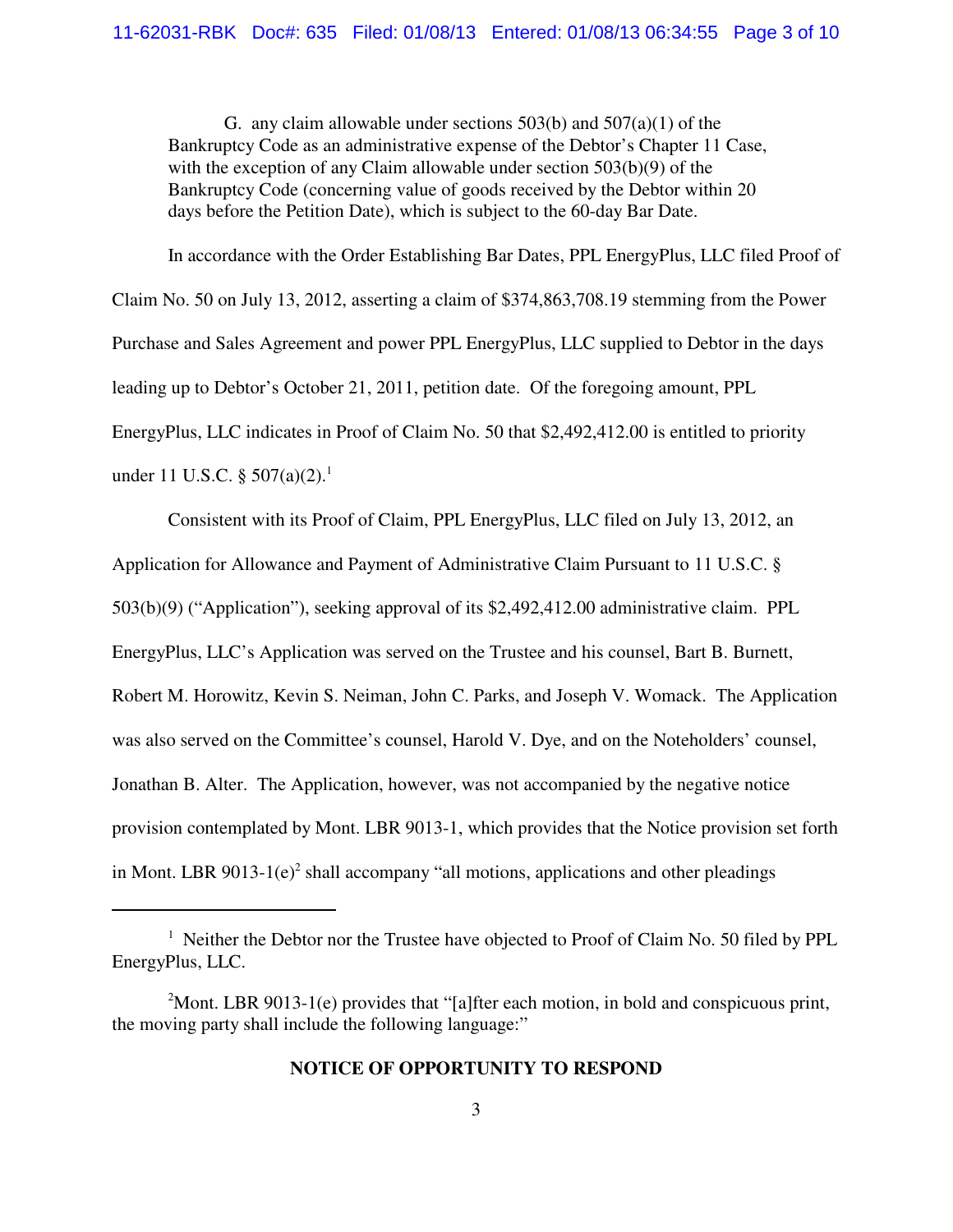G. any claim allowable under sections  $503(b)$  and  $507(a)(1)$  of the Bankruptcy Code as an administrative expense of the Debtor's Chapter 11 Case, with the exception of any Claim allowable under section 503(b)(9) of the Bankruptcy Code (concerning value of goods received by the Debtor within 20 days before the Petition Date), which is subject to the 60-day Bar Date.

In accordance with the Order Establishing Bar Dates, PPL EnergyPlus, LLC filed Proof of Claim No. 50 on July 13, 2012, asserting a claim of \$374,863,708.19 stemming from the Power Purchase and Sales Agreement and power PPL EnergyPlus, LLC supplied to Debtor in the days leading up to Debtor's October 21, 2011, petition date. Of the foregoing amount, PPL EnergyPlus, LLC indicates in Proof of Claim No. 50 that \$2,492,412.00 is entitled to priority under 11 U.S.C.  $\S 507(a)(2)$ .<sup>1</sup>

Consistent with its Proof of Claim, PPL EnergyPlus, LLC filed on July 13, 2012, an Application for Allowance and Payment of Administrative Claim Pursuant to 11 U.S.C. § 503(b)(9) ("Application"), seeking approval of its \$2,492,412.00 administrative claim. PPL EnergyPlus, LLC's Application was served on the Trustee and his counsel, Bart B. Burnett, Robert M. Horowitz, Kevin S. Neiman, John C. Parks, and Joseph V. Womack. The Application was also served on the Committee's counsel, Harold V. Dye, and on the Noteholders' counsel, Jonathan B. Alter. The Application, however, was not accompanied by the negative notice provision contemplated by Mont. LBR 9013-1, which provides that the Notice provision set forth in Mont. LBR  $9013-1(e)^2$  shall accompany "all motions, applications and other pleadings

## **NOTICE OF OPPORTUNITY TO RESPOND**

<sup>&</sup>lt;sup>1</sup> Neither the Debtor nor the Trustee have objected to Proof of Claim No. 50 filed by PPL EnergyPlus, LLC.

<sup>&</sup>lt;sup>2</sup>Mont. LBR 9013-1(e) provides that "[a]fter each motion, in bold and conspicuous print, the moving party shall include the following language:"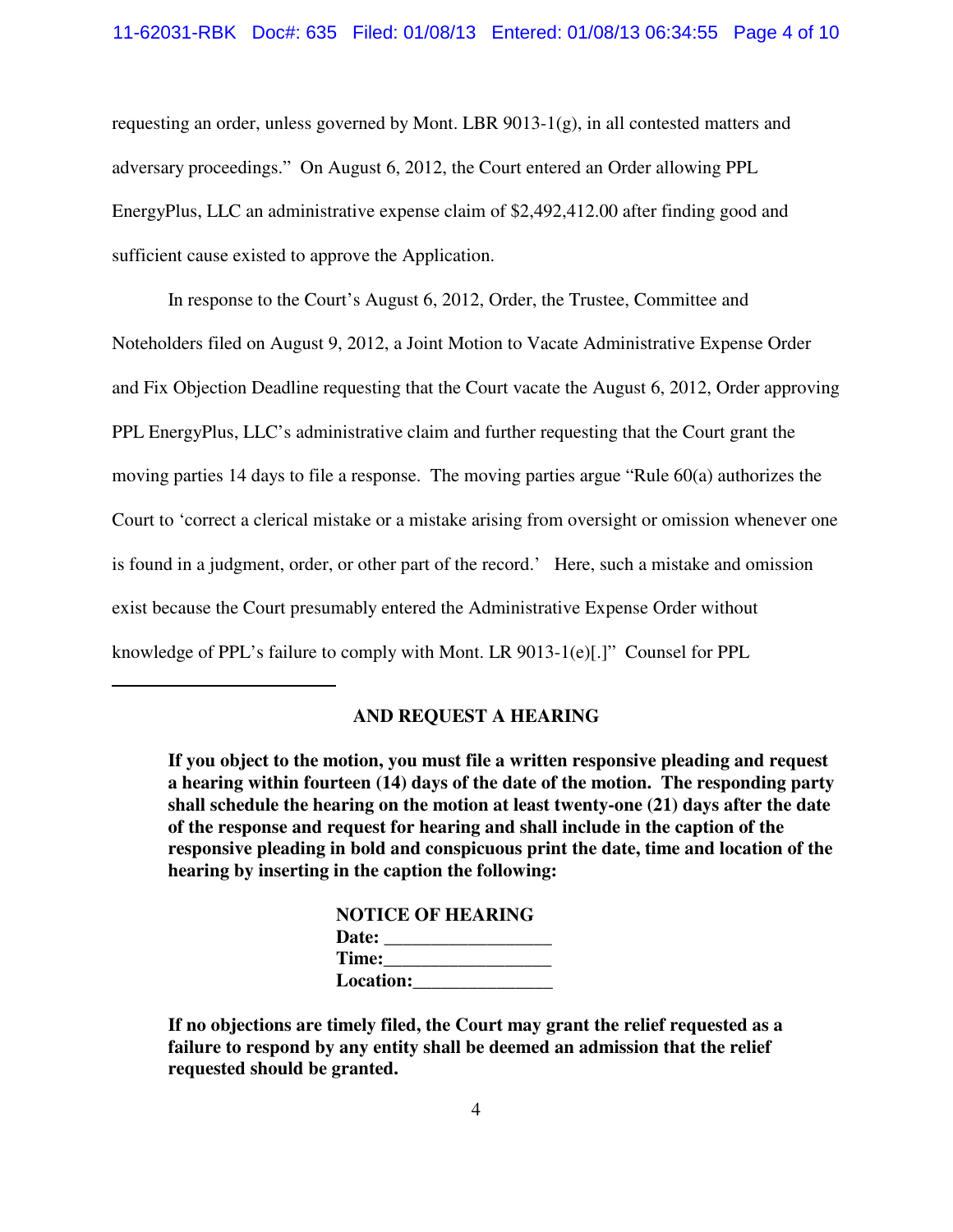## 11-62031-RBK Doc#: 635 Filed: 01/08/13 Entered: 01/08/13 06:34:55 Page 4 of 10

requesting an order, unless governed by Mont. LBR 9013-1(g), in all contested matters and adversary proceedings." On August 6, 2012, the Court entered an Order allowing PPL EnergyPlus, LLC an administrative expense claim of \$2,492,412.00 after finding good and sufficient cause existed to approve the Application.

In response to the Court's August 6, 2012, Order, the Trustee, Committee and Noteholders filed on August 9, 2012, a Joint Motion to Vacate Administrative Expense Order and Fix Objection Deadline requesting that the Court vacate the August 6, 2012, Order approving PPL EnergyPlus, LLC's administrative claim and further requesting that the Court grant the moving parties 14 days to file a response. The moving parties argue "Rule 60(a) authorizes the Court to 'correct a clerical mistake or a mistake arising from oversight or omission whenever one is found in a judgment, order, or other part of the record.' Here, such a mistake and omission exist because the Court presumably entered the Administrative Expense Order without knowledge of PPL's failure to comply with Mont. LR 9013-1(e)[.]" Counsel for PPL

## **AND REQUEST A HEARING**

**If you object to the motion, you must file a written responsive pleading and request a hearing within fourteen (14) days of the date of the motion. The responding party shall schedule the hearing on the motion at least twenty-one (21) days after the date of the response and request for hearing and shall include in the caption of the responsive pleading in bold and conspicuous print the date, time and location of the hearing by inserting in the caption the following:**

| <b>NOTICE OF HEARING</b> |  |
|--------------------------|--|
| Date:                    |  |
| Time:                    |  |
| <b>Location:</b>         |  |

**If no objections are timely filed, the Court may grant the relief requested as a failure to respond by any entity shall be deemed an admission that the relief requested should be granted.**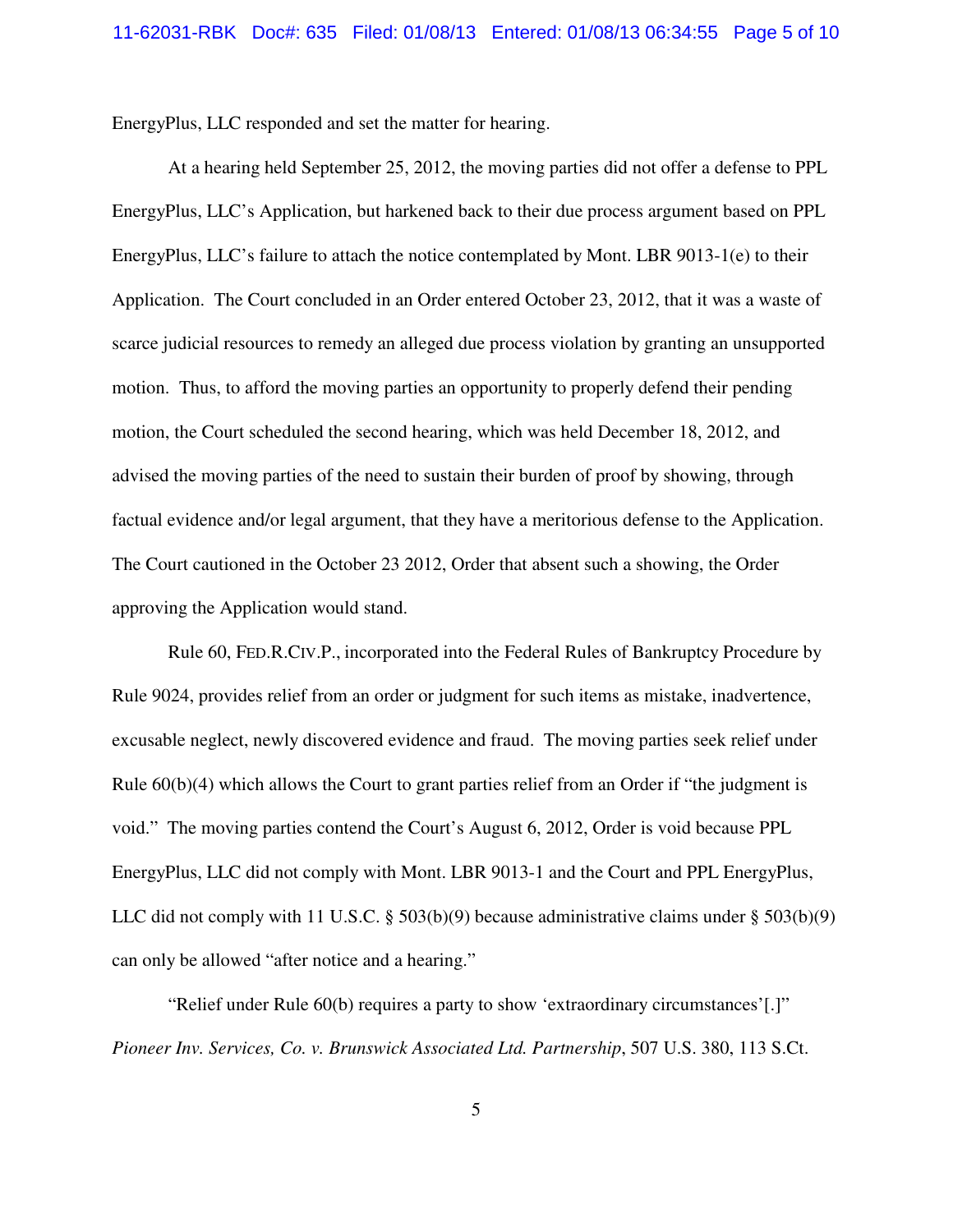EnergyPlus, LLC responded and set the matter for hearing.

At a hearing held September 25, 2012, the moving parties did not offer a defense to PPL EnergyPlus, LLC's Application, but harkened back to their due process argument based on PPL EnergyPlus, LLC's failure to attach the notice contemplated by Mont. LBR 9013-1(e) to their Application. The Court concluded in an Order entered October 23, 2012, that it was a waste of scarce judicial resources to remedy an alleged due process violation by granting an unsupported motion. Thus, to afford the moving parties an opportunity to properly defend their pending motion, the Court scheduled the second hearing, which was held December 18, 2012, and advised the moving parties of the need to sustain their burden of proof by showing, through factual evidence and/or legal argument, that they have a meritorious defense to the Application. The Court cautioned in the October 23 2012, Order that absent such a showing, the Order approving the Application would stand.

Rule 60, FED.R.CIV.P., incorporated into the Federal Rules of Bankruptcy Procedure by Rule 9024, provides relief from an order or judgment for such items as mistake, inadvertence, excusable neglect, newly discovered evidence and fraud. The moving parties seek relief under Rule  $60(b)(4)$  which allows the Court to grant parties relief from an Order if "the judgment is void." The moving parties contend the Court's August 6, 2012, Order is void because PPL EnergyPlus, LLC did not comply with Mont. LBR 9013-1 and the Court and PPL EnergyPlus, LLC did not comply with 11 U.S.C. § 503(b)(9) because administrative claims under § 503(b)(9) can only be allowed "after notice and a hearing."

"Relief under Rule 60(b) requires a party to show 'extraordinary circumstances'[.]" *Pioneer Inv. Services, Co. v. Brunswick Associated Ltd. Partnership*, 507 U.S. 380, 113 S.Ct.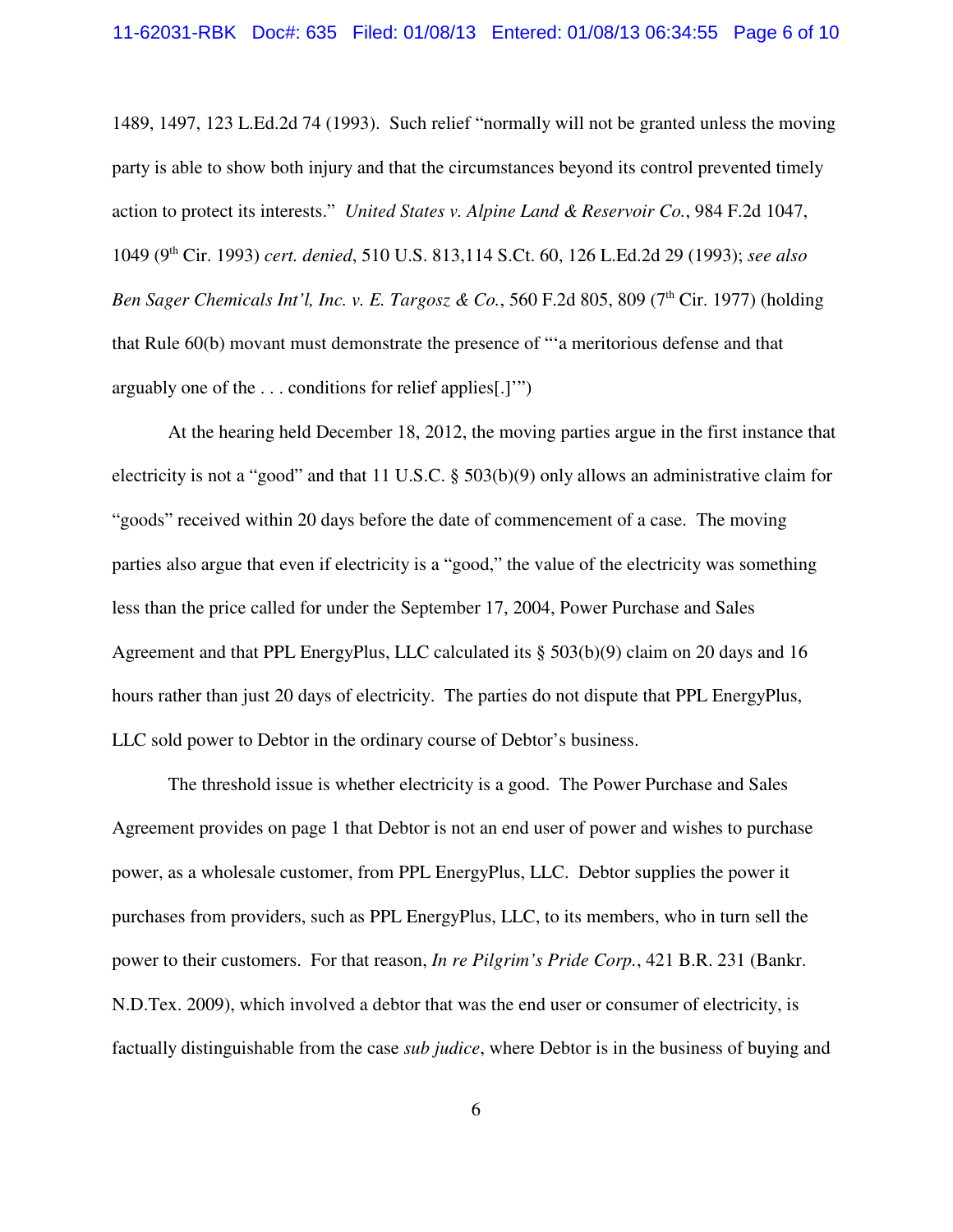1489, 1497, 123 L.Ed.2d 74 (1993). Such relief "normally will not be granted unless the moving party is able to show both injury and that the circumstances beyond its control prevented timely action to protect its interests." *United States v. Alpine Land & Reservoir Co.*, 984 F.2d 1047, 1049 (9th Cir. 1993) *cert. denied*, 510 U.S. 813,114 S.Ct. 60, 126 L.Ed.2d 29 (1993); *see also Ben Sager Chemicals Int'l, Inc. v. E. Targosz & Co.*, 560 F.2d 805, 809 (7<sup>th</sup> Cir. 1977) (holding that Rule 60(b) movant must demonstrate the presence of "'a meritorious defense and that arguably one of the . . . conditions for relief applies[.]'")

At the hearing held December 18, 2012, the moving parties argue in the first instance that electricity is not a "good" and that 11 U.S.C. § 503(b)(9) only allows an administrative claim for "goods" received within 20 days before the date of commencement of a case. The moving parties also argue that even if electricity is a "good," the value of the electricity was something less than the price called for under the September 17, 2004, Power Purchase and Sales Agreement and that PPL EnergyPlus, LLC calculated its § 503(b)(9) claim on 20 days and 16 hours rather than just 20 days of electricity. The parties do not dispute that PPL EnergyPlus, LLC sold power to Debtor in the ordinary course of Debtor's business.

The threshold issue is whether electricity is a good. The Power Purchase and Sales Agreement provides on page 1 that Debtor is not an end user of power and wishes to purchase power, as a wholesale customer, from PPL EnergyPlus, LLC. Debtor supplies the power it purchases from providers, such as PPL EnergyPlus, LLC, to its members, who in turn sell the power to their customers. For that reason, *In re Pilgrim's Pride Corp.*, 421 B.R. 231 (Bankr. N.D.Tex. 2009), which involved a debtor that was the end user or consumer of electricity, is factually distinguishable from the case *sub judice*, where Debtor is in the business of buying and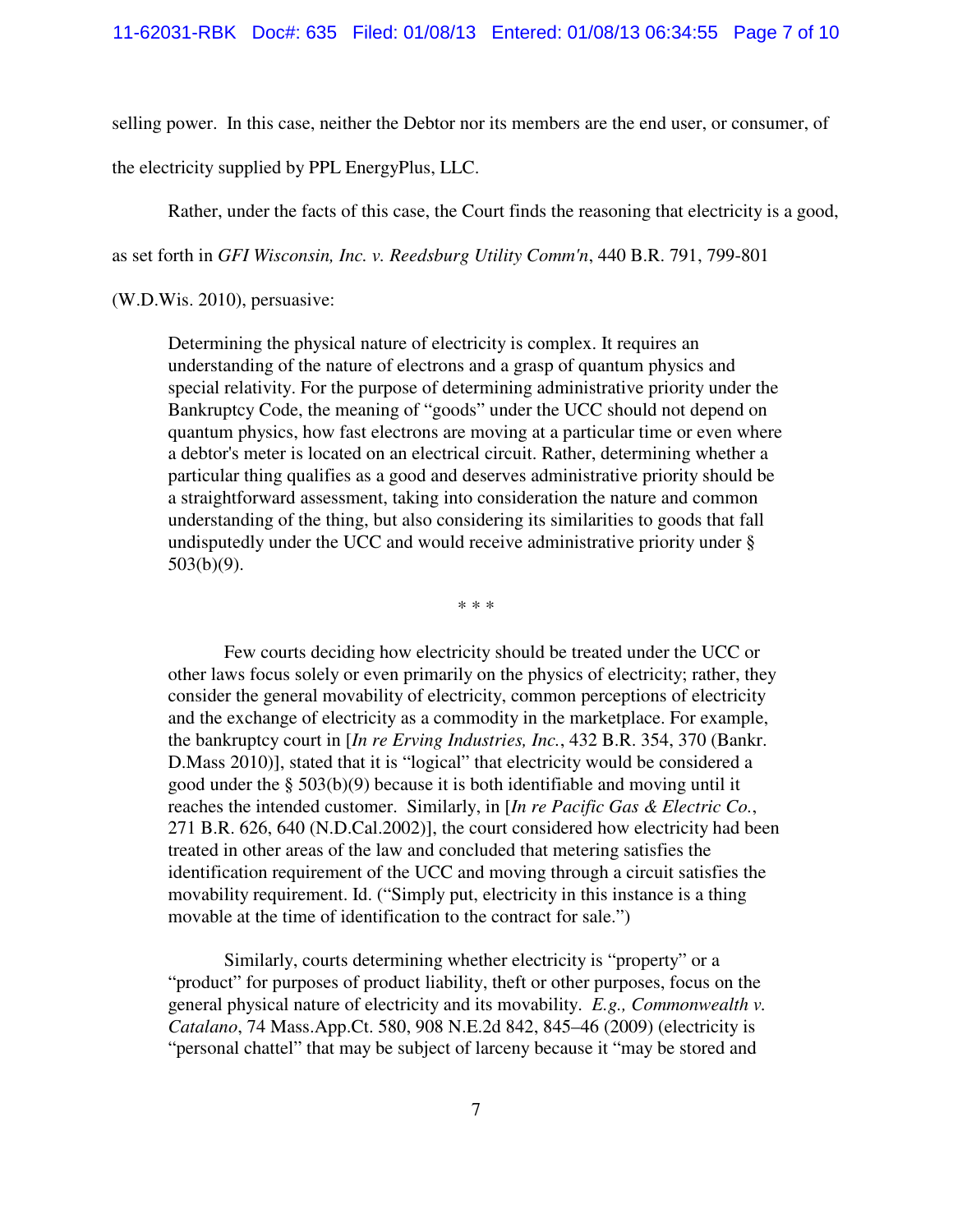selling power. In this case, neither the Debtor nor its members are the end user, or consumer, of

the electricity supplied by PPL EnergyPlus, LLC.

Rather, under the facts of this case, the Court finds the reasoning that electricity is a good,

as set forth in *GFI Wisconsin, Inc. v. Reedsburg Utility Comm'n*, 440 B.R. 791, 799-801

(W.D.Wis. 2010), persuasive:

Determining the physical nature of electricity is complex. It requires an understanding of the nature of electrons and a grasp of quantum physics and special relativity. For the purpose of determining administrative priority under the Bankruptcy Code, the meaning of "goods" under the UCC should not depend on quantum physics, how fast electrons are moving at a particular time or even where a debtor's meter is located on an electrical circuit. Rather, determining whether a particular thing qualifies as a good and deserves administrative priority should be a straightforward assessment, taking into consideration the nature and common understanding of the thing, but also considering its similarities to goods that fall undisputedly under the UCC and would receive administrative priority under § 503(b)(9).

\* \* \*

Few courts deciding how electricity should be treated under the UCC or other laws focus solely or even primarily on the physics of electricity; rather, they consider the general movability of electricity, common perceptions of electricity and the exchange of electricity as a commodity in the marketplace. For example, the bankruptcy court in [*In re Erving Industries, Inc.*, 432 B.R. 354, 370 (Bankr. D.Mass 2010)], stated that it is "logical" that electricity would be considered a good under the § 503(b)(9) because it is both identifiable and moving until it reaches the intended customer. Similarly, in [*In re Pacific Gas & Electric Co.*, 271 B.R. 626, 640 (N.D.Cal.2002)], the court considered how electricity had been treated in other areas of the law and concluded that metering satisfies the identification requirement of the UCC and moving through a circuit satisfies the movability requirement. Id. ("Simply put, electricity in this instance is a thing movable at the time of identification to the contract for sale.")

Similarly, courts determining whether electricity is "property" or a "product" for purposes of product liability, theft or other purposes, focus on the general physical nature of electricity and its movability. *E.g., Commonwealth v. Catalano*, 74 Mass.App.Ct. 580, 908 N.E.2d 842, 845–46 (2009) (electricity is "personal chattel" that may be subject of larceny because it "may be stored and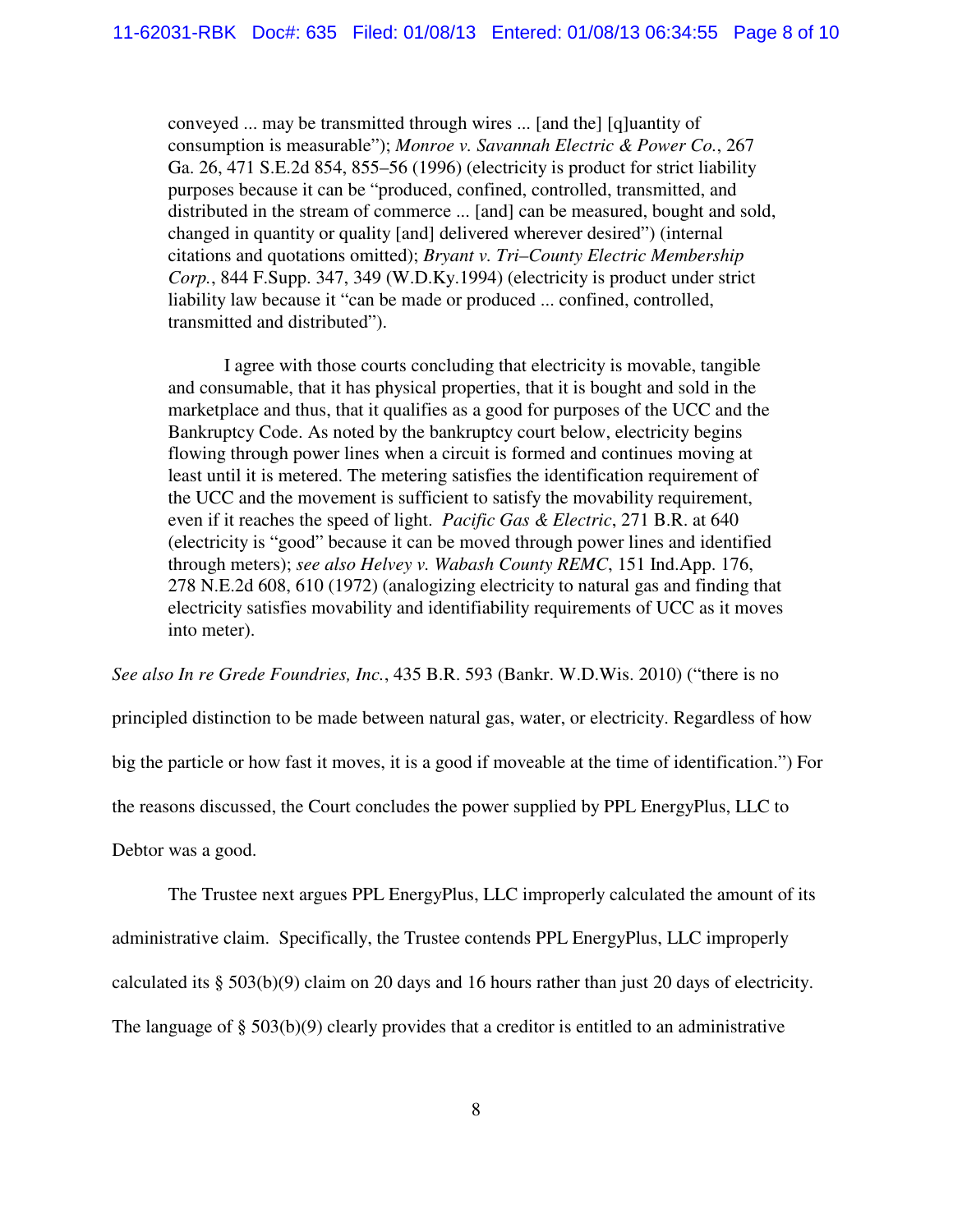conveyed ... may be transmitted through wires ... [and the] [q]uantity of consumption is measurable"); *Monroe v. Savannah Electric & Power Co.*, 267 Ga. 26, 471 S.E.2d 854, 855–56 (1996) (electricity is product for strict liability purposes because it can be "produced, confined, controlled, transmitted, and distributed in the stream of commerce ... [and] can be measured, bought and sold, changed in quantity or quality [and] delivered wherever desired") (internal citations and quotations omitted); *Bryant v. Tri–County Electric Membership Corp.*, 844 F.Supp. 347, 349 (W.D.Ky.1994) (electricity is product under strict liability law because it "can be made or produced ... confined, controlled, transmitted and distributed").

I agree with those courts concluding that electricity is movable, tangible and consumable, that it has physical properties, that it is bought and sold in the marketplace and thus, that it qualifies as a good for purposes of the UCC and the Bankruptcy Code. As noted by the bankruptcy court below, electricity begins flowing through power lines when a circuit is formed and continues moving at least until it is metered. The metering satisfies the identification requirement of the UCC and the movement is sufficient to satisfy the movability requirement, even if it reaches the speed of light. *Pacific Gas & Electric*, 271 B.R. at 640 (electricity is "good" because it can be moved through power lines and identified through meters); *see also Helvey v. Wabash County REMC*, 151 Ind.App. 176, 278 N.E.2d 608, 610 (1972) (analogizing electricity to natural gas and finding that electricity satisfies movability and identifiability requirements of UCC as it moves into meter).

*See also In re Grede Foundries, Inc.*, 435 B.R. 593 (Bankr. W.D.Wis. 2010) ("there is no

principled distinction to be made between natural gas, water, or electricity. Regardless of how

big the particle or how fast it moves, it is a good if moveable at the time of identification.") For

the reasons discussed, the Court concludes the power supplied by PPL EnergyPlus, LLC to

Debtor was a good.

The Trustee next argues PPL EnergyPlus, LLC improperly calculated the amount of its

administrative claim. Specifically, the Trustee contends PPL EnergyPlus, LLC improperly

calculated its § 503(b)(9) claim on 20 days and 16 hours rather than just 20 days of electricity.

The language of § 503(b)(9) clearly provides that a creditor is entitled to an administrative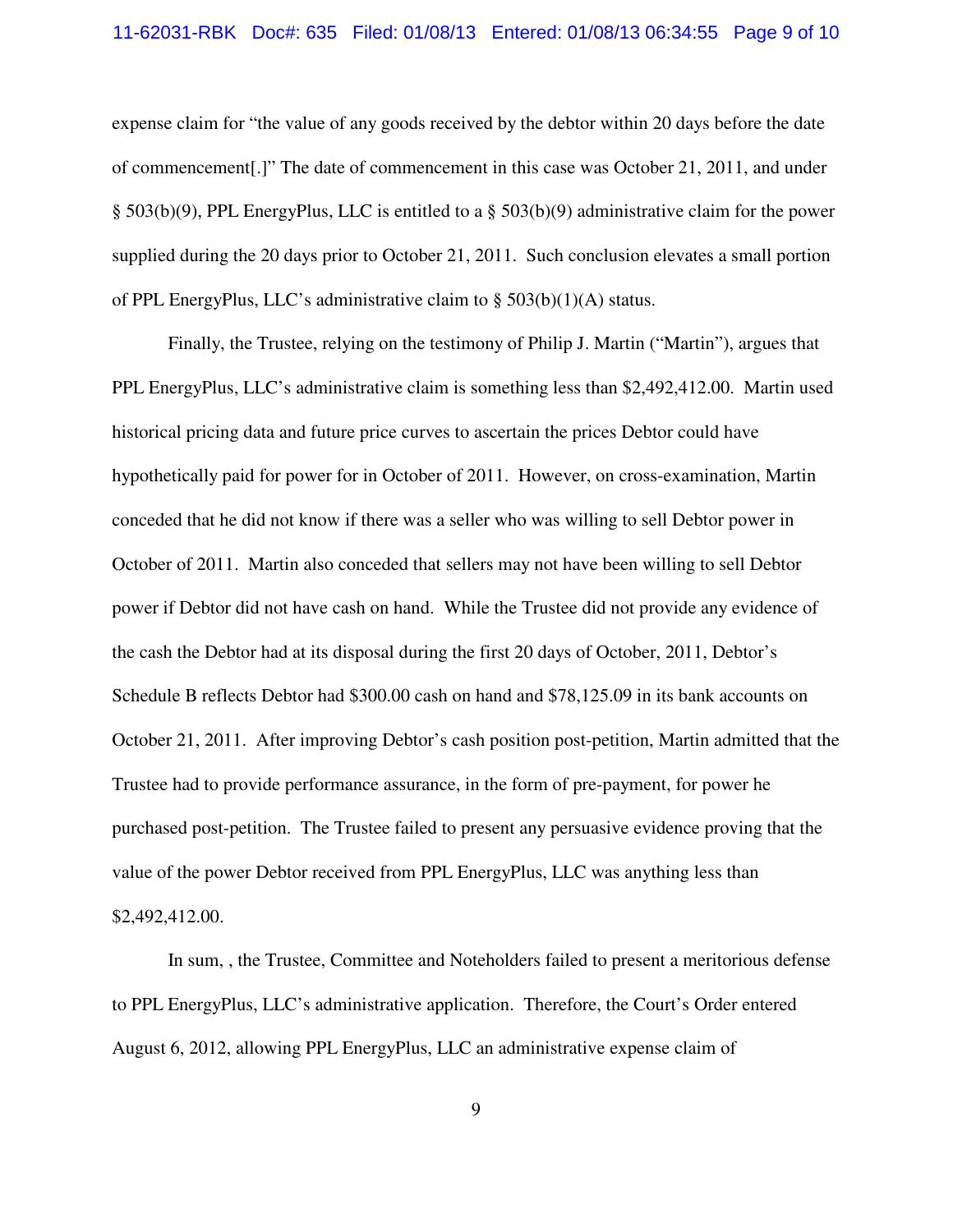## 11-62031-RBK Doc#: 635 Filed: 01/08/13 Entered: 01/08/13 06:34:55 Page 9 of 10

expense claim for "the value of any goods received by the debtor within 20 days before the date of commencement[.]" The date of commencement in this case was October 21, 2011, and under § 503(b)(9), PPL EnergyPlus, LLC is entitled to a § 503(b)(9) administrative claim for the power supplied during the 20 days prior to October 21, 2011. Such conclusion elevates a small portion of PPL EnergyPlus, LLC's administrative claim to § 503(b)(1)(A) status.

Finally, the Trustee, relying on the testimony of Philip J. Martin ("Martin"), argues that PPL EnergyPlus, LLC's administrative claim is something less than \$2,492,412.00. Martin used historical pricing data and future price curves to ascertain the prices Debtor could have hypothetically paid for power for in October of 2011. However, on cross-examination, Martin conceded that he did not know if there was a seller who was willing to sell Debtor power in October of 2011. Martin also conceded that sellers may not have been willing to sell Debtor power if Debtor did not have cash on hand. While the Trustee did not provide any evidence of the cash the Debtor had at its disposal during the first 20 days of October, 2011, Debtor's Schedule B reflects Debtor had \$300.00 cash on hand and \$78,125.09 in its bank accounts on October 21, 2011. After improving Debtor's cash position post-petition, Martin admitted that the Trustee had to provide performance assurance, in the form of pre-payment, for power he purchased post-petition. The Trustee failed to present any persuasive evidence proving that the value of the power Debtor received from PPL EnergyPlus, LLC was anything less than \$2,492,412.00.

In sum, , the Trustee, Committee and Noteholders failed to present a meritorious defense to PPL EnergyPlus, LLC's administrative application. Therefore, the Court's Order entered August 6, 2012, allowing PPL EnergyPlus, LLC an administrative expense claim of

9